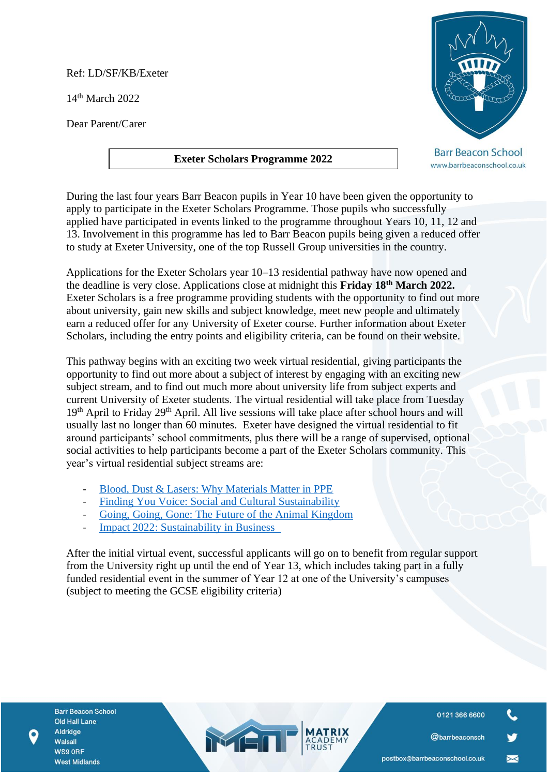Ref: LD/SF/KB/Exeter

14th March 2022

Dear Parent/Carer

## **Exeter Scholars Programme 2022**



**Barr Beacon School** www.barrbeaconschool.co.uk

During the last four years Barr Beacon pupils in Year 10 have been given the opportunity to apply to participate in the Exeter Scholars Programme. Those pupils who successfully applied have participated in events linked to the programme throughout Years 10, 11, 12 and 13. Involvement in this programme has led to Barr Beacon pupils being given a reduced offer to study at Exeter University, one of the top Russell Group universities in the country.

Applications for the Exeter Scholars year 10–13 residential pathway have now opened and the deadline is very close. Applications close at midnight this **Friday 18th March 2022.** [Exeter Scholars](https://eur03.safelinks.protection.outlook.com/?url=https%3A%2F%2Fwww.exeter.ac.uk%2Fexeterscholars%2Fapply%2Fyear10%2F&data=04%7C01%7CT.J.Sanders%40exeter.ac.uk%7C91a1ba9278de4531712908d9fad69327%7C912a5d77fb984eeeaf321334d8f04a53%7C0%7C0%7C637816621756373821%7CUnknown%7CTWFpbGZsb3d8eyJWIjoiMC4wLjAwMDAiLCJQIjoiV2luMzIiLCJBTiI6Ik1haWwiLCJXVCI6Mn0%3D%7C3000&sdata=ziXNuem8jSJolsvBUVHNtPx0gMBGrgDwB3luUzJP7bA%3D&reserved=0) is a free programme providing students with the opportunity to find out more about university, gain new skills and subject knowledge, meet new people and ultimately earn a reduced offer for any University of Exeter course. Further information about Exeter Scholars, including the entry points and eligibility criteria, can be found on their website.

This pathway begins with an exciting two week virtual residential, giving participants the opportunity to find out more about a subject of interest by engaging with an exciting new subject stream, and to find out much more about university life from subject experts and current University of Exeter students. The virtual residential will take place from Tuesday 19<sup>th</sup> April to Friday 29<sup>th</sup> April. All live sessions will take place after school hours and will usually last no longer than 60 minutes. Exeter have designed the virtual residential to fit around participants' school commitments, plus there will be a range of supervised, optional social activities to help participants become a part of the Exeter Scholars community. This year's virtual residential subject streams are:

- [Blood, Dust & Lasers: Why Materials Matter in PPE](https://eur03.safelinks.protection.outlook.com/?url=https%3A%2F%2Fwww.exeter.ac.uk%2Fstudy%2Fexeterscholars%2Fcurrentparticipants%2Fyear10virtualresidential%2F%23a3&data=04%7C01%7CT.J.Sanders%40exeter.ac.uk%7C91a1ba9278de4531712908d9fad69327%7C912a5d77fb984eeeaf321334d8f04a53%7C0%7C0%7C637816621756530039%7CUnknown%7CTWFpbGZsb3d8eyJWIjoiMC4wLjAwMDAiLCJQIjoiV2luMzIiLCJBTiI6Ik1haWwiLCJXVCI6Mn0%3D%7C3000&sdata=Tb%2BFlDXGsMHuduxuZf4gNvLkAgsIuvwXOSwIZSBD35k%3D&reserved=0)
- [Finding You Voice: Social and Cultural Sustainability](https://eur03.safelinks.protection.outlook.com/?url=https%3A%2F%2Fwww.exeter.ac.uk%2Fstudy%2Fexeterscholars%2Fcurrentparticipants%2Fyear10virtualresidential%2F%23a3&data=04%7C01%7CT.J.Sanders%40exeter.ac.uk%7C91a1ba9278de4531712908d9fad69327%7C912a5d77fb984eeeaf321334d8f04a53%7C0%7C0%7C637816621756530039%7CUnknown%7CTWFpbGZsb3d8eyJWIjoiMC4wLjAwMDAiLCJQIjoiV2luMzIiLCJBTiI6Ik1haWwiLCJXVCI6Mn0%3D%7C3000&sdata=Tb%2BFlDXGsMHuduxuZf4gNvLkAgsIuvwXOSwIZSBD35k%3D&reserved=0)
- [Going, Going, Gone: The Future of the Animal Kingdom](https://eur03.safelinks.protection.outlook.com/?url=https%3A%2F%2Fwww.exeter.ac.uk%2Fstudy%2Fexeterscholars%2Fcurrentparticipants%2Fyear10virtualresidential%2F%23a3&data=04%7C01%7CT.J.Sanders%40exeter.ac.uk%7C91a1ba9278de4531712908d9fad69327%7C912a5d77fb984eeeaf321334d8f04a53%7C0%7C0%7C637816621756530039%7CUnknown%7CTWFpbGZsb3d8eyJWIjoiMC4wLjAwMDAiLCJQIjoiV2luMzIiLCJBTiI6Ik1haWwiLCJXVCI6Mn0%3D%7C3000&sdata=Tb%2BFlDXGsMHuduxuZf4gNvLkAgsIuvwXOSwIZSBD35k%3D&reserved=0)
- Impact 2022: Sustainability in Business

After the initial virtual event, successful applicants will go on to benefit from regular support from the University right up until the end of Year 13, which includes taking part in a fully funded residential event in the summer of Year 12 at one of the University's campuses (subject to meeting the GCSE eligibility criteria)

MEN

**Barr Beacon School** Old Hall Lane Aldridge Walsall WS9 ORF **West Midlands** 

0121 366 6600

@barrbeaconsch